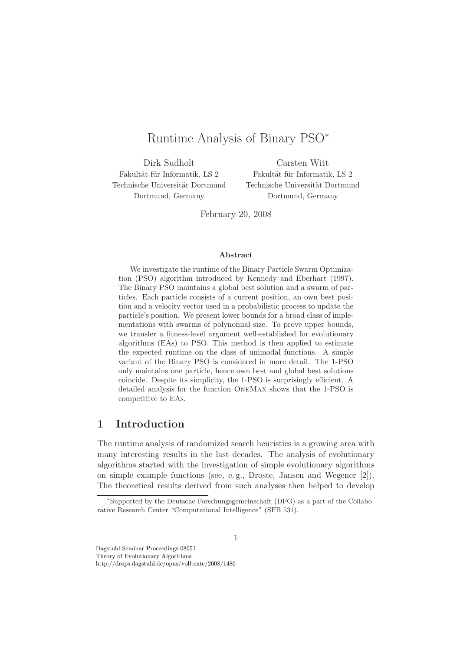# Runtime Analysis of Binary PSO<sup>∗</sup>

Dirk Sudholt Fakultät für Informatik, LS 2 Technische Universität Dortmund Dortmund, Germany

Carsten Witt Fakultät für Informatik, LS 2 Technische Universität Dortmund Dortmund, Germany

February 20, 2008

#### Abstract

We investigate the runtime of the Binary Particle Swarm Optimization (PSO) algorithm introduced by Kennedy and Eberhart (1997). The Binary PSO maintains a global best solution and a swarm of particles. Each particle consists of a current position, an own best position and a velocity vector used in a probabilistic process to update the particle's position. We present lower bounds for a broad class of implementations with swarms of polynomial size. To prove upper bounds, we transfer a fitness-level argument well-established for evolutionary algorithms (EAs) to PSO. This method is then applied to estimate the expected runtime on the class of unimodal functions. A simple variant of the Binary PSO is considered in more detail. The 1-PSO only maintains one particle, hence own best and global best solutions coincide. Despite its simplicity, the 1-PSO is surprisingly efficient. A detailed analysis for the function OneMax shows that the 1-PSO is competitive to EAs.

### 1 Introduction

The runtime analysis of randomized search heuristics is a growing area with many interesting results in the last decades. The analysis of evolutionary algorithms started with the investigation of simple evolutionary algorithms on simple example functions (see, e. g., Droste, Jansen and Wegener [2]). The theoretical results derived from such analyses then helped to develop

<sup>∗</sup> Supported by the Deutsche Forschungsgemeinschaft (DFG) as a part of the Collaborative Research Center "Computational Intelligence" (SFB 531).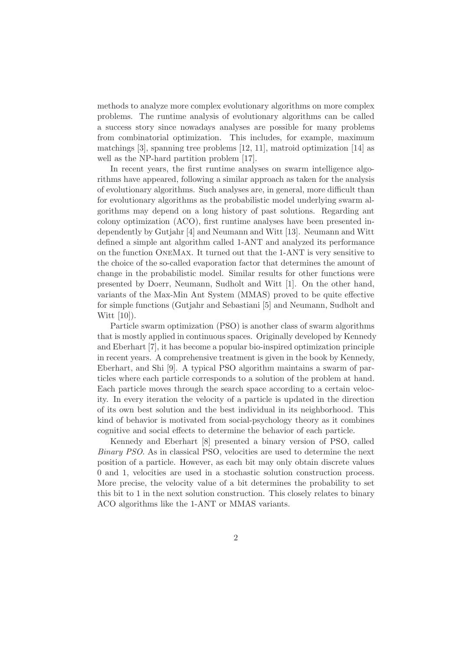methods to analyze more complex evolutionary algorithms on more complex problems. The runtime analysis of evolutionary algorithms can be called a success story since nowadays analyses are possible for many problems from combinatorial optimization. This includes, for example, maximum matchings [3], spanning tree problems [12, 11], matroid optimization [14] as well as the NP-hard partition problem [17].

In recent years, the first runtime analyses on swarm intelligence algorithms have appeared, following a similar approach as taken for the analysis of evolutionary algorithms. Such analyses are, in general, more difficult than for evolutionary algorithms as the probabilistic model underlying swarm algorithms may depend on a long history of past solutions. Regarding ant colony optimization (ACO), first runtime analyses have been presented independently by Gutjahr [4] and Neumann and Witt [13]. Neumann and Witt defined a simple ant algorithm called 1-ANT and analyzed its performance on the function OneMax. It turned out that the 1-ANT is very sensitive to the choice of the so-called evaporation factor that determines the amount of change in the probabilistic model. Similar results for other functions were presented by Doerr, Neumann, Sudholt and Witt [1]. On the other hand, variants of the Max-Min Ant System (MMAS) proved to be quite effective for simple functions (Gutjahr and Sebastiani [5] and Neumann, Sudholt and Witt [10]).

Particle swarm optimization (PSO) is another class of swarm algorithms that is mostly applied in continuous spaces. Originally developed by Kennedy and Eberhart [7], it has become a popular bio-inspired optimization principle in recent years. A comprehensive treatment is given in the book by Kennedy, Eberhart, and Shi [9]. A typical PSO algorithm maintains a swarm of particles where each particle corresponds to a solution of the problem at hand. Each particle moves through the search space according to a certain velocity. In every iteration the velocity of a particle is updated in the direction of its own best solution and the best individual in its neighborhood. This kind of behavior is motivated from social-psychology theory as it combines cognitive and social effects to determine the behavior of each particle.

Kennedy and Eberhart [8] presented a binary version of PSO, called Binary PSO. As in classical PSO, velocities are used to determine the next position of a particle. However, as each bit may only obtain discrete values 0 and 1, velocities are used in a stochastic solution construction process. More precise, the velocity value of a bit determines the probability to set this bit to 1 in the next solution construction. This closely relates to binary ACO algorithms like the 1-ANT or MMAS variants.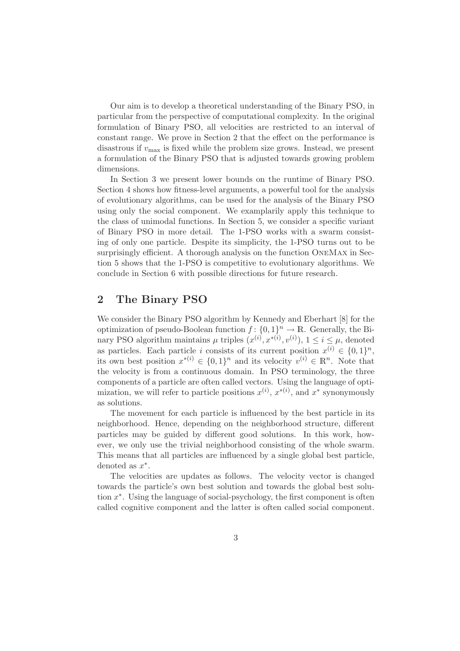Our aim is to develop a theoretical understanding of the Binary PSO, in particular from the perspective of computational complexity. In the original formulation of Binary PSO, all velocities are restricted to an interval of constant range. We prove in Section 2 that the effect on the performance is disastrous if  $v_{\text{max}}$  is fixed while the problem size grows. Instead, we present a formulation of the Binary PSO that is adjusted towards growing problem dimensions.

In Section 3 we present lower bounds on the runtime of Binary PSO. Section 4 shows how fitness-level arguments, a powerful tool for the analysis of evolutionary algorithms, can be used for the analysis of the Binary PSO using only the social component. We examplarily apply this technique to the class of unimodal functions. In Section 5, we consider a specific variant of Binary PSO in more detail. The 1-PSO works with a swarm consisting of only one particle. Despite its simplicity, the 1-PSO turns out to be surprisingly efficient. A thorough analysis on the function OneMax in Section 5 shows that the 1-PSO is competitive to evolutionary algorithms. We conclude in Section 6 with possible directions for future research.

## 2 The Binary PSO

We consider the Binary PSO algorithm by Kennedy and Eberhart [8] for the optimization of pseudo-Boolean function  $f: \{0,1\}^n \to \mathbb{R}$ . Generally, the Binary PSO algorithm maintains  $\mu$  triples  $(x^{(i)}, x^{*(i)}, v^{(i)})$ ,  $1 \le i \le \mu$ , denoted as particles. Each particle i consists of its current position  $x^{(i)} \in \{0,1\}^n$ , its own best position  $x^{*(i)} \in \{0,1\}^n$  and its velocity  $v^{(i)} \in \mathbb{R}^n$ . Note that the velocity is from a continuous domain. In PSO terminology, the three components of a particle are often called vectors. Using the language of optimization, we will refer to particle positions  $x^{(i)}$ ,  $x^{*(i)}$ , and  $x^*$  synonymously as solutions.

The movement for each particle is influenced by the best particle in its neighborhood. Hence, depending on the neighborhood structure, different particles may be guided by different good solutions. In this work, however, we only use the trivial neighborhood consisting of the whole swarm. This means that all particles are influenced by a single global best particle, denoted as  $x^*$ .

The velocities are updates as follows. The velocity vector is changed towards the particle's own best solution and towards the global best solution x ∗ . Using the language of social-psychology, the first component is often called cognitive component and the latter is often called social component.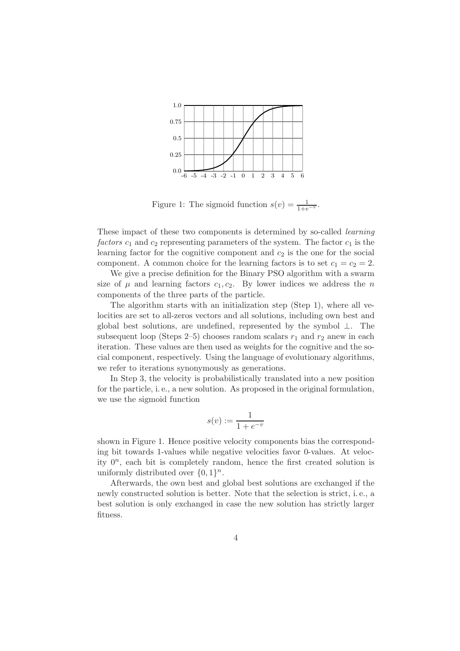

Figure 1: The sigmoid function  $s(v) = \frac{1}{1+e^{-v}}$ .

These impact of these two components is determined by so-called learning factors  $c_1$  and  $c_2$  representing parameters of the system. The factor  $c_1$  is the learning factor for the cognitive component and  $c_2$  is the one for the social component. A common choice for the learning factors is to set  $c_1 = c_2 = 2$ .

We give a precise definition for the Binary PSO algorithm with a swarm size of  $\mu$  and learning factors  $c_1, c_2$ . By lower indices we address the n components of the three parts of the particle.

The algorithm starts with an initialization step (Step 1), where all velocities are set to all-zeros vectors and all solutions, including own best and global best solutions, are undefined, represented by the symbol ⊥. The subsequent loop (Steps 2–5) chooses random scalars  $r_1$  and  $r_2$  anew in each iteration. These values are then used as weights for the cognitive and the social component, respectively. Using the language of evolutionary algorithms, we refer to iterations synonymously as generations.

In Step 3, the velocity is probabilistically translated into a new position for the particle, i. e., a new solution. As proposed in the original formulation, we use the sigmoid function

$$
s(v) := \frac{1}{1 + e^{-v}}
$$

shown in Figure 1. Hence positive velocity components bias the corresponding bit towards 1-values while negative velocities favor 0-values. At velocity  $0^n$ , each bit is completely random, hence the first created solution is uniformly distributed over  $\{0, 1\}^n$ .

Afterwards, the own best and global best solutions are exchanged if the newly constructed solution is better. Note that the selection is strict, i. e., a best solution is only exchanged in case the new solution has strictly larger fitness.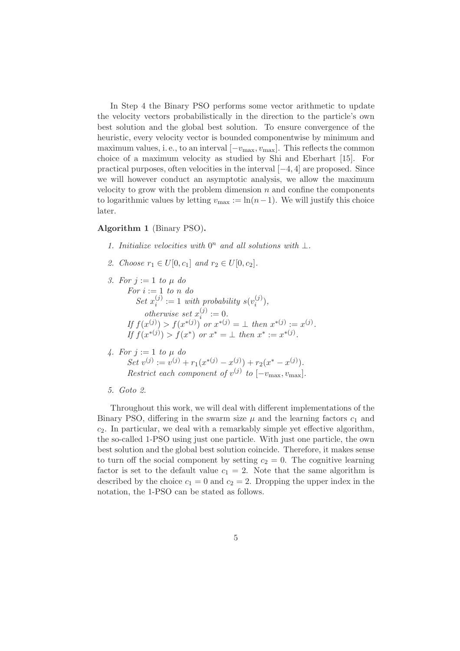In Step 4 the Binary PSO performs some vector arithmetic to update the velocity vectors probabilistically in the direction to the particle's own best solution and the global best solution. To ensure convergence of the heuristic, every velocity vector is bounded componentwise by minimum and maximum values, i. e., to an interval  $[-v_{\text{max}}, v_{\text{max}}]$ . This reflects the common choice of a maximum velocity as studied by Shi and Eberhart [15]. For practical purposes, often velocities in the interval  $[-4, 4]$  are proposed. Since we will however conduct an asymptotic analysis, we allow the maximum velocity to grow with the problem dimension  $n$  and confine the components to logarithmic values by letting  $v_{\text{max}} := \ln(n-1)$ . We will justify this choice later.

#### Algorithm 1 (Binary PSO).

- 1. Initialize velocities with  $0^n$  and all solutions with  $\bot$ .
- 2. Choose  $r_1 \in U[0, c_1]$  and  $r_2 \in U[0, c_2]$ .
- 3. For  $i := 1$  to  $\mu$  do For  $i := 1$  to n do Set  $x_i^{(j)}$  $i^{(j)} := 1$  with probability  $s(v_i^{(j)})$  $\binom{J'}{i},$ otherwise set  $x_i^{(j)}$  $i^{(j)} := 0.$ If  $f(x^{(j)}) > f(x^{*(j)})$  or  $x^{*(j)} = \bot$  then  $x^{*(j)} := x^{(j)}$ . If  $f(x^{*(j)}) > f(x^*)$  or  $x^* = \bot$  then  $x^* := x^{*(j)}$ .
- 4. For  $j := 1$  to  $\mu$  do Set  $v^{(j)} := v^{(j)} + r_1(x^{*(j)} - x^{(j)}) + r_2(x^* - x^{(j)}).$ Restrict each component of  $v^{(j)}$  to  $[-v_{\text{max}}, v_{\text{max}}]$ .
- 5. Goto 2.

Throughout this work, we will deal with different implementations of the Binary PSO, differing in the swarm size  $\mu$  and the learning factors  $c_1$  and  $c_2$ . In particular, we deal with a remarkably simple yet effective algorithm, the so-called 1-PSO using just one particle. With just one particle, the own best solution and the global best solution coincide. Therefore, it makes sense to turn off the social component by setting  $c_2 = 0$ . The cognitive learning factor is set to the default value  $c_1 = 2$ . Note that the same algorithm is described by the choice  $c_1 = 0$  and  $c_2 = 2$ . Dropping the upper index in the notation, the 1-PSO can be stated as follows.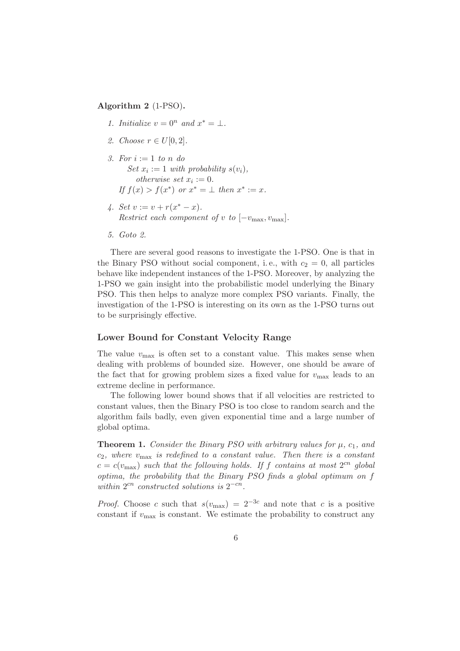#### Algorithm 2 (1-PSO).

- 1. Initialize  $v = 0^n$  and  $x^* = \bot$ .
- 2. Choose  $r \in U[0,2]$ .
- 3. For  $i := 1$  to n do Set  $x_i := 1$  with probability  $s(v_i)$ , otherwise set  $x_i := 0$ . If  $f(x) > f(x^*)$  or  $x^* = \perp$  then  $x^* := x$ .
- 4. Set  $v := v + r(x^* x)$ . Restrict each component of v to  $[-v_{\text{max}}, v_{\text{max}}]$ .
- 5. Goto 2.

There are several good reasons to investigate the 1-PSO. One is that in the Binary PSO without social component, i.e., with  $c_2 = 0$ , all particles behave like independent instances of the 1-PSO. Moreover, by analyzing the 1-PSO we gain insight into the probabilistic model underlying the Binary PSO. This then helps to analyze more complex PSO variants. Finally, the investigation of the 1-PSO is interesting on its own as the 1-PSO turns out to be surprisingly effective.

#### Lower Bound for Constant Velocity Range

The value  $v_{\text{max}}$  is often set to a constant value. This makes sense when dealing with problems of bounded size. However, one should be aware of the fact that for growing problem sizes a fixed value for  $v_{\text{max}}$  leads to an extreme decline in performance.

The following lower bound shows that if all velocities are restricted to constant values, then the Binary PSO is too close to random search and the algorithm fails badly, even given exponential time and a large number of global optima.

**Theorem 1.** Consider the Binary PSO with arbitrary values for  $\mu$ ,  $c_1$ , and  $c_2$ , where  $v_{\text{max}}$  is redefined to a constant value. Then there is a constant  $c = c(v_{\text{max}})$  such that the following holds. If f contains at most  $2^{cn}$  global optima, the probability that the Binary PSO finds a global optimum on f within  $2^{cn}$  constructed solutions is  $2^{-cn}$ .

*Proof.* Choose c such that  $s(v_{\text{max}}) = 2^{-3c}$  and note that c is a positive constant if  $v_{\text{max}}$  is constant. We estimate the probability to construct any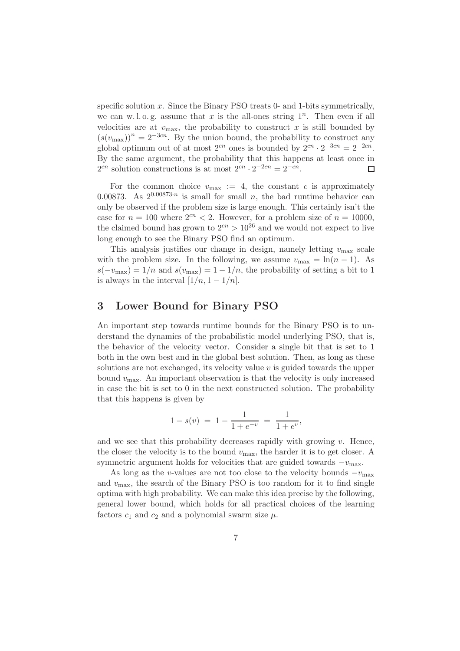specific solution  $x$ . Since the Binary PSO treats 0- and 1-bits symmetrically, we can w.l.o.g. assume that x is the all-ones string  $1^n$ . Then even if all velocities are at  $v_{\text{max}}$ , the probability to construct x is still bounded by  $(s(v_{\text{max}}))^n = 2^{-3cn}$ . By the union bound, the probability to construct any global optimum out of at most  $2^{cn}$  ones is bounded by  $2^{cn} \cdot 2^{-3cn} = 2^{-2cn}$ . By the same argument, the probability that this happens at least once in  $2^{cn}$  solution constructions is at most  $2^{cn} \cdot 2^{-2cn} = 2^{-cn}$ .  $\Box$ 

For the common choice  $v_{\text{max}} := 4$ , the constant c is approximately 0.00873. As  $2^{0.00873 \cdot n}$  is small for small n, the bad runtime behavior can only be observed if the problem size is large enough. This certainly isn't the case for  $n = 100$  where  $2<sup>cn</sup> < 2$ . However, for a problem size of  $n = 10000$ , the claimed bound has grown to  $2^{cn} > 10^{26}$  and we would not expect to live long enough to see the Binary PSO find an optimum.

This analysis justifies our change in design, namely letting  $v_{\text{max}}$  scale with the problem size. In the following, we assume  $v_{\text{max}} = \ln(n - 1)$ . As  $s(-v_{\text{max}}) = 1/n$  and  $s(v_{\text{max}}) = 1 - 1/n$ , the probability of setting a bit to 1 is always in the interval  $[1/n, 1 - 1/n]$ .

### 3 Lower Bound for Binary PSO

An important step towards runtime bounds for the Binary PSO is to understand the dynamics of the probabilistic model underlying PSO, that is, the behavior of the velocity vector. Consider a single bit that is set to 1 both in the own best and in the global best solution. Then, as long as these solutions are not exchanged, its velocity value  $v$  is guided towards the upper bound  $v_{\text{max}}$ . An important observation is that the velocity is only increased in case the bit is set to 0 in the next constructed solution. The probability that this happens is given by

$$
1 - s(v) = 1 - \frac{1}{1 + e^{-v}} = \frac{1}{1 + e^v},
$$

and we see that this probability decreases rapidly with growing  $v$ . Hence, the closer the velocity is to the bound  $v_{\text{max}}$ , the harder it is to get closer. A symmetric argument holds for velocities that are guided towards  $-v_{\text{max}}$ .

As long as the v-values are not too close to the velocity bounds  $-v_{\text{max}}$ and  $v_{\text{max}}$ , the search of the Binary PSO is too random for it to find single optima with high probability. We can make this idea precise by the following, general lower bound, which holds for all practical choices of the learning factors  $c_1$  and  $c_2$  and a polynomial swarm size  $\mu$ .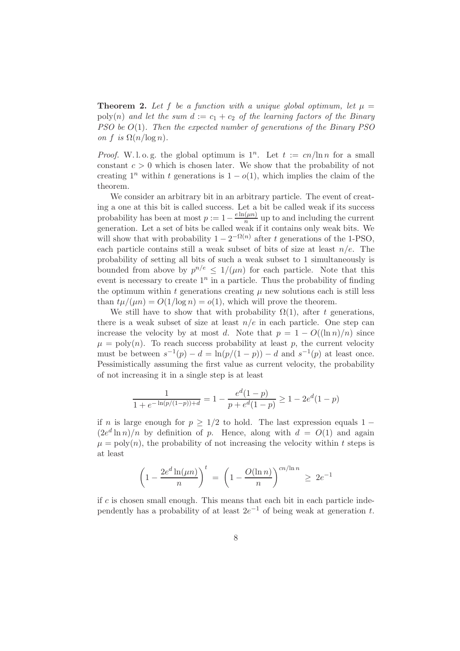**Theorem 2.** Let f be a function with a unique global optimum, let  $\mu =$ poly(n) and let the sum  $d := c_1 + c_2$  of the learning factors of the Binary  $PSO$  be  $O(1)$ . Then the expected number of generations of the Binary  $PSO$ on f is  $\Omega(n/\log n)$ .

*Proof.* W.l.o.g. the global optimum is  $1^n$ . Let  $t := cn/\ln n$  for a small constant  $c > 0$  which is chosen later. We show that the probability of not creating  $1^n$  within t generations is  $1 - o(1)$ , which implies the claim of the theorem.

We consider an arbitrary bit in an arbitrary particle. The event of creating a one at this bit is called success. Let a bit be called weak if its success probability has been at most  $p := 1 - \frac{e \ln(\mu n)}{n}$  $\frac{\mu}{n}$  up to and including the current generation. Let a set of bits be called weak if it contains only weak bits. We will show that with probability  $1 - 2^{-\Omega(n)}$  after t generations of the 1-PSO, each particle contains still a weak subset of bits of size at least  $n/e$ . The probability of setting all bits of such a weak subset to 1 simultaneously is bounded from above by  $p^{n/e} \leq 1/(\mu n)$  for each particle. Note that this event is necessary to create  $1^n$  in a particle. Thus the probability of finding the optimum within t generations creating  $\mu$  new solutions each is still less than  $t\mu/(\mu n) = O(1/\log n) = o(1)$ , which will prove the theorem.

We still have to show that with probability  $\Omega(1)$ , after t generations, there is a weak subset of size at least  $n/e$  in each particle. One step can increase the velocity by at most d. Note that  $p = 1 - O((\ln n)/n)$  since  $\mu = \text{poly}(n)$ . To reach success probability at least p, the current velocity must be between  $s^{-1}(p) - d = \ln(p/(1-p)) - d$  and  $s^{-1}(p)$  at least once. Pessimistically assuming the first value as current velocity, the probability of not increasing it in a single step is at least

$$
\frac{1}{1 + e^{-\ln(p/(1-p)) + d}} = 1 - \frac{e^d(1-p)}{p + e^d(1-p)} \ge 1 - 2e^d(1-p)
$$

if n is large enough for  $p \geq 1/2$  to hold. The last expression equals 1 −  $(2e^d \ln n)/n$  by definition of p. Hence, along with  $d = O(1)$  and again  $\mu = \text{poly}(n)$ , the probability of not increasing the velocity within t steps is at least

$$
\left(1 - \frac{2e^d \ln(\mu n)}{n}\right)^t = \left(1 - \frac{O(\ln n)}{n}\right)^{cn/\ln n} \ge 2e^{-1}
$$

if  $c$  is chosen small enough. This means that each bit in each particle independently has a probability of at least  $2e^{-1}$  of being weak at generation t.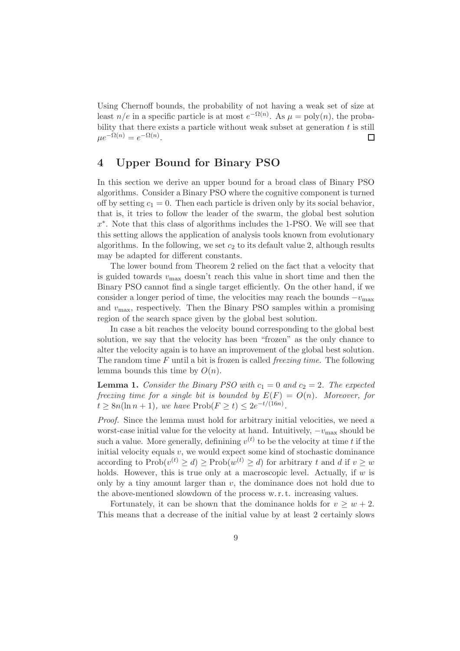Using Chernoff bounds, the probability of not having a weak set of size at least  $n/e$  in a specific particle is at most  $e^{-\Omega(n)}$ . As  $\mu = \text{poly}(n)$ , the probability that there exists a particle without weak subset at generation  $t$  is still  $\mu e^{-\Omega(n)} = e^{-\Omega(n)}.$  $\Box$ 

# 4 Upper Bound for Binary PSO

In this section we derive an upper bound for a broad class of Binary PSO algorithms. Consider a Binary PSO where the cognitive component is turned off by setting  $c_1 = 0$ . Then each particle is driven only by its social behavior, that is, it tries to follow the leader of the swarm, the global best solution x ∗ . Note that this class of algorithms includes the 1-PSO. We will see that this setting allows the application of analysis tools known from evolutionary algorithms. In the following, we set  $c_2$  to its default value 2, although results may be adapted for different constants.

The lower bound from Theorem 2 relied on the fact that a velocity that is guided towards  $v_{\text{max}}$  doesn't reach this value in short time and then the Binary PSO cannot find a single target efficiently. On the other hand, if we consider a longer period of time, the velocities may reach the bounds  $-v_{\text{max}}$ and  $v_{\text{max}}$ , respectively. Then the Binary PSO samples within a promising region of the search space given by the global best solution.

In case a bit reaches the velocity bound corresponding to the global best solution, we say that the velocity has been "frozen" as the only chance to alter the velocity again is to have an improvement of the global best solution. The random time  $F$  until a bit is frozen is called *freezing time*. The following lemma bounds this time by  $O(n)$ .

**Lemma 1.** Consider the Binary PSO with  $c_1 = 0$  and  $c_2 = 2$ . The expected freezing time for a single bit is bounded by  $E(F) = O(n)$ . Moreover, for  $t \geq 8n(\ln n + 1)$ , we have  $\text{Prob}(F \geq t) \leq 2e^{-t/(16n)}$ .

Proof. Since the lemma must hold for arbitrary initial velocities, we need a worst-case initial value for the velocity at hand. Intuitively,  $-v_{\text{max}}$  should be such a value. More generally, definining  $v^{(t)}$  to be the velocity at time t if the initial velocity equals  $v$ , we would expect some kind of stochastic dominance according to  $\text{Prob}(v^{(t)} \geq d) \geq \text{Prob}(w^{(t)} \geq d)$  for arbitrary t and d if  $v \geq w$ holds. However, this is true only at a macroscopic level. Actually, if  $w$  is only by a tiny amount larger than  $v$ , the dominance does not hold due to the above-mentioned slowdown of the process w. r. t. increasing values.

Fortunately, it can be shown that the dominance holds for  $v \geq w + 2$ . This means that a decrease of the initial value by at least 2 certainly slows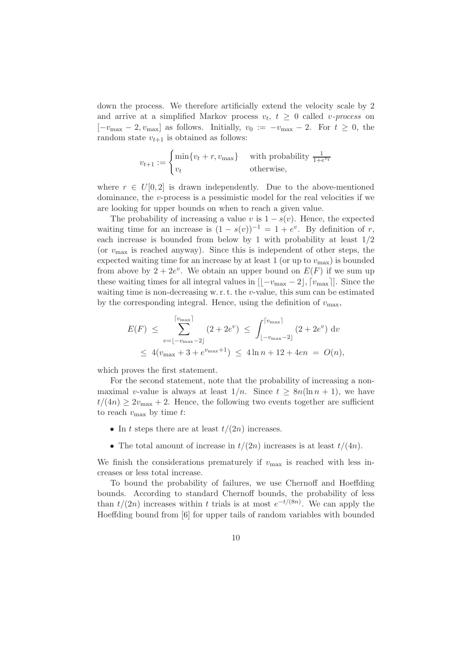down the process. We therefore artificially extend the velocity scale by 2 and arrive at a simplified Markov process  $v_t$ ,  $t \geq 0$  called *v-process* on  $[-v_{\text{max}} - 2, v_{\text{max}}]$  as follows. Initially,  $v_0 := -v_{\text{max}} - 2$ . For  $t \geq 0$ , the random state  $v_{t+1}$  is obtained as follows:

$$
v_{t+1} := \begin{cases} \min\{v_t + r, v_{\text{max}}\} & \text{with probability } \frac{1}{1 + e^{v_t}}\\ v_t & \text{otherwise,} \end{cases}
$$

where  $r \in U[0,2]$  is drawn independently. Due to the above-mentioned dominance, the  $v$ -process is a pessimistic model for the real velocities if we are looking for upper bounds on when to reach a given value.

The probability of increasing a value v is  $1 - s(v)$ . Hence, the expected waiting time for an increase is  $(1 - s(v))^{-1} = 1 + e^v$ . By definition of r, each increase is bounded from below by 1 with probability at least 1/2 (or  $v_{\text{max}}$  is reached anyway). Since this is independent of other steps, the expected waiting time for an increase by at least 1 (or up to  $v_{\text{max}}$ ) is bounded from above by  $2 + 2e^v$ . We obtain an upper bound on  $E(F)$  if we sum up these waiting times for all integral values in  $\left[\frac{-v_{\text{max}}-2\right], \left[v_{\text{max}}\right]$ . Since the waiting time is non-decreasing w.r.t. the v-value, this sum can be estimated by the corresponding integral. Hence, using the definition of  $v_{\text{max}}$ ,

$$
E(F) \leq \sum_{v=\lfloor -v_{\text{max}}-2 \rfloor}^{\lceil v_{\text{max}} \rceil} (2 + 2e^v) \leq \int_{\lfloor -v_{\text{max}}-2 \rfloor}^{\lceil v_{\text{max}} \rceil} (2 + 2e^v) dv
$$
  
 
$$
\leq 4(v_{\text{max}} + 3 + e^{v_{\text{max}}+1}) \leq 4\ln n + 12 + 4en = O(n),
$$

which proves the first statement.

For the second statement, note that the probability of increasing a nonmaximal v-value is always at least  $1/n$ . Since  $t \geq 8n(\ln n + 1)$ , we have  $t/(4n) \geq 2v_{\text{max}} + 2$ . Hence, the following two events together are sufficient to reach  $v_{\text{max}}$  by time t:

- In t steps there are at least  $t/(2n)$  increases.
- The total amount of increase in  $t/(2n)$  increases is at least  $t/(4n)$ .

We finish the considerations prematurely if  $v_{\text{max}}$  is reached with less increases or less total increase.

To bound the probability of failures, we use Chernoff and Hoeffding bounds. According to standard Chernoff bounds, the probability of less than  $t/(2n)$  increases within t trials is at most  $e^{-t/(8n)}$ . We can apply the Hoeffding bound from [6] for upper tails of random variables with bounded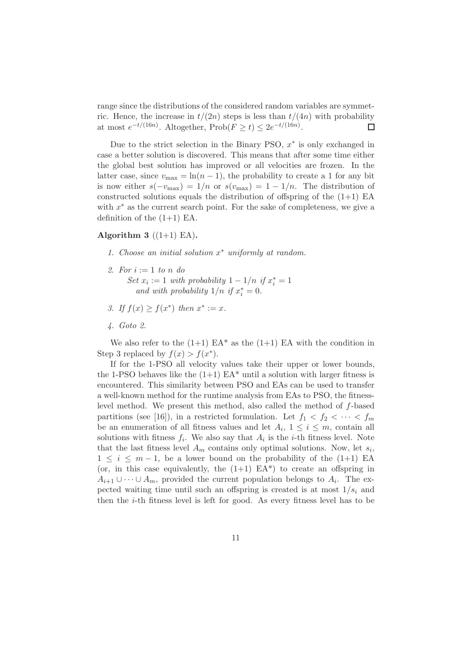range since the distributions of the considered random variables are symmetric. Hence, the increase in  $t/(2n)$  steps is less than  $t/(4n)$  with probability at most  $e^{-t/(16n)}$ . Altogether,  $\text{Prob}(F \ge t) \le 2e^{-t/(16n)}$ .  $\Box$ 

Due to the strict selection in the Binary PSO,  $x^*$  is only exchanged in case a better solution is discovered. This means that after some time either the global best solution has improved or all velocities are frozen. In the latter case, since  $v_{\text{max}} = \ln(n-1)$ , the probability to create a 1 for any bit is now either  $s(-v_{\text{max}}) = 1/n$  or  $s(v_{\text{max}}) = 1 - 1/n$ . The distribution of constructed solutions equals the distribution of offspring of the  $(1+1)$  EA with  $x^*$  as the current search point. For the sake of completeness, we give a definition of the  $(1+1)$  EA.

#### Algorithm 3  $((1+1)$  EA).

- 1. Choose an initial solution  $x^*$  uniformly at random.
- 2. For  $i := 1$  to n do Set  $x_i := 1$  with probability  $1 - 1/n$  if  $x_i^* = 1$ and with probability  $1/n$  if  $x_i^* = 0$ .
- 3. If  $f(x) \geq f(x^*)$  then  $x^* := x$ .
- 4. Goto 2.

We also refer to the  $(1+1)$  EA\* as the  $(1+1)$  EA with the condition in Step 3 replaced by  $f(x) > f(x^*)$ .

If for the 1-PSO all velocity values take their upper or lower bounds, the 1-PSO behaves like the  $(1+1)$  EA<sup>\*</sup> until a solution with larger fitness is encountered. This similarity between PSO and EAs can be used to transfer a well-known method for the runtime analysis from EAs to PSO, the fitnesslevel method. We present this method, also called the method of f-based partitions (see [16]), in a restricted formulation. Let  $f_1 < f_2 < \cdots < f_m$ be an enumeration of all fitness values and let  $A_i$ ,  $1 \leq i \leq m$ , contain all solutions with fitness  $f_i$ . We also say that  $A_i$  is the *i*-th fitness level. Note that the last fitness level  $A_m$  contains only optimal solutions. Now, let  $s_i$ ,  $1 \leq i \leq m-1$ , be a lower bound on the probability of the  $(1+1)$  EA (or, in this case equivalently, the  $(1+1)$  EA<sup>\*</sup>) to create an offspring in  $A_{i+1} \cup \cdots \cup A_m$ , provided the current population belongs to  $A_i$ . The expected waiting time until such an offspring is created is at most  $1/s<sub>i</sub>$  and then the i-th fitness level is left for good. As every fitness level has to be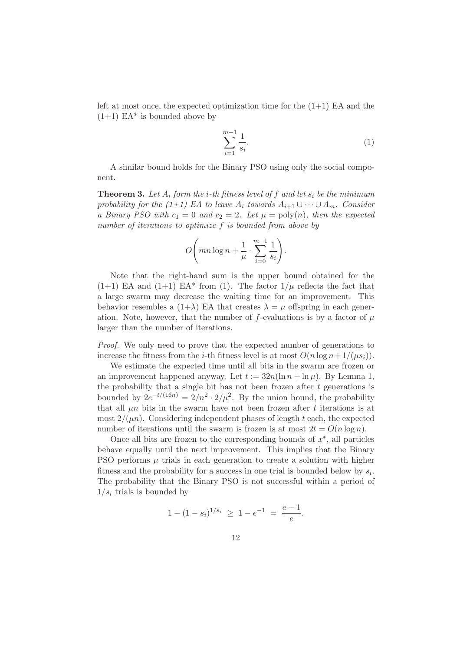left at most once, the expected optimization time for the  $(1+1)$  EA and the  $(1+1)$  EA<sup>\*</sup> is bounded above by

$$
\sum_{i=1}^{m-1} \frac{1}{s_i}.\tag{1}
$$

A similar bound holds for the Binary PSO using only the social component.

**Theorem 3.** Let  $A_i$  form the *i*-th fitness level of f and let  $s_i$  be the minimum probability for the (1+1) EA to leave  $A_i$  towards  $A_{i+1} \cup \cdots \cup A_m$ . Consider a Binary PSO with  $c_1 = 0$  and  $c_2 = 2$ . Let  $\mu = \text{poly}(n)$ , then the expected number of iterations to optimize f is bounded from above by

$$
O\bigg(mn\log n+\frac{1}{\mu}\cdot\sum_{i=0}^{m-1}\frac{1}{s_i}\bigg).
$$

Note that the right-hand sum is the upper bound obtained for the  $(1+1)$  EA and  $(1+1)$  EA\* from (1). The factor  $1/\mu$  reflects the fact that a large swarm may decrease the waiting time for an improvement. This behavior resembles a  $(1+\lambda)$  EA that creates  $\lambda = \mu$  offspring in each generation. Note, however, that the number of f-evaluations is by a factor of  $\mu$ larger than the number of iterations.

Proof. We only need to prove that the expected number of generations to increase the fitness from the *i*-th fitness level is at most  $O(n \log n + 1/(\mu s_i))$ .

We estimate the expected time until all bits in the swarm are frozen or an improvement happened anyway. Let  $t := 32n(\ln n + \ln \mu)$ . By Lemma 1, the probability that a single bit has not been frozen after  $t$  generations is bounded by  $2e^{-t/(16n)} = 2/n^2 \cdot 2/\mu^2$ . By the union bound, the probability that all  $\mu$ n bits in the swarm have not been frozen after t iterations is at most  $2/(\mu n)$ . Considering independent phases of length t each, the expected number of iterations until the swarm is frozen is at most  $2t = O(n \log n)$ .

Once all bits are frozen to the corresponding bounds of  $x^*$ , all particles behave equally until the next improvement. This implies that the Binary PSO performs  $\mu$  trials in each generation to create a solution with higher fitness and the probability for a success in one trial is bounded below by  $s_i$ . The probability that the Binary PSO is not successful within a period of  $1/s_i$  trials is bounded by

$$
1 - (1 - s_i)^{1/s_i} \ge 1 - e^{-1} = \frac{e - 1}{e}.
$$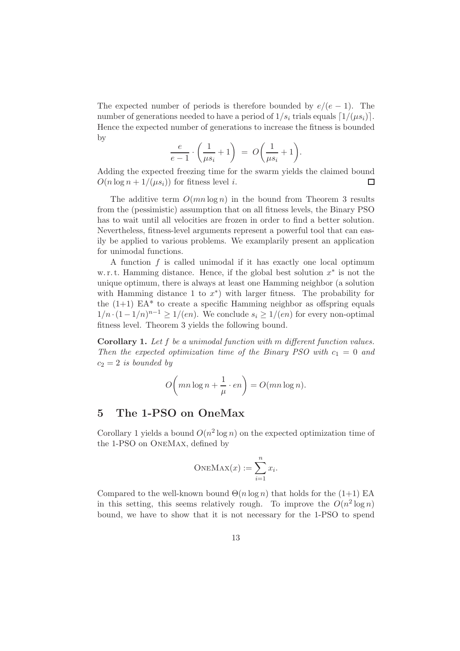The expected number of periods is therefore bounded by  $e/(e-1)$ . The number of generations needed to have a period of  $1/s_i$  trials equals  $\lceil 1/(\mu s_i) \rceil$ . Hence the expected number of generations to increase the fitness is bounded by

$$
\frac{e}{e-1} \cdot \left(\frac{1}{\mu s_i} + 1\right) = O\left(\frac{1}{\mu s_i} + 1\right).
$$

Adding the expected freezing time for the swarm yields the claimed bound  $O(n \log n + 1/(\mu s_i))$  for fitness level *i*. П

The additive term  $O(mn \log n)$  in the bound from Theorem 3 results from the (pessimistic) assumption that on all fitness levels, the Binary PSO has to wait until all velocities are frozen in order to find a better solution. Nevertheless, fitness-level arguments represent a powerful tool that can easily be applied to various problems. We examplarily present an application for unimodal functions.

A function f is called unimodal if it has exactly one local optimum w. r. t. Hamming distance. Hence, if the global best solution  $x^*$  is not the unique optimum, there is always at least one Hamming neighbor (a solution with Hamming distance 1 to  $x^*$ ) with larger fitness. The probability for the  $(1+1)$  EA<sup>\*</sup> to create a specific Hamming neighbor as offspring equals  $1/n \cdot (1 - 1/n)^{n-1} \ge 1/(en)$ . We conclude  $s_i \ge 1/(en)$  for every non-optimal fitness level. Theorem 3 yields the following bound.

Corollary 1. Let f be a unimodal function with m different function values. Then the expected optimization time of the Binary PSO with  $c_1 = 0$  and  $c_2 = 2$  is bounded by

$$
O\left(mn\log n + \frac{1}{\mu} \cdot en\right) = O(mn\log n).
$$

## 5 The 1-PSO on OneMax

Corollary 1 yields a bound  $O(n^2 \log n)$  on the expected optimization time of the 1-PSO on OneMax, defined by

$$
\text{ONEMAX}(x) := \sum_{i=1}^{n} x_i.
$$

Compared to the well-known bound  $\Theta(n \log n)$  that holds for the (1+1) EA in this setting, this seems relatively rough. To improve the  $O(n^2 \log n)$ bound, we have to show that it is not necessary for the 1-PSO to spend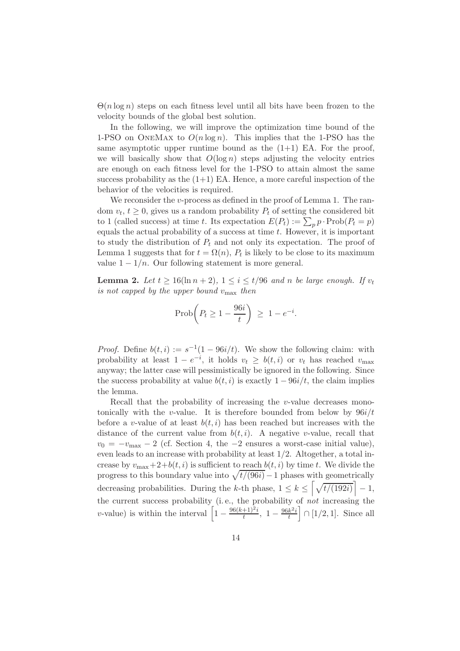$\Theta(n \log n)$  steps on each fitness level until all bits have been frozen to the velocity bounds of the global best solution.

In the following, we will improve the optimization time bound of the 1-PSO on ONEMAX to  $O(n \log n)$ . This implies that the 1-PSO has the same asymptotic upper runtime bound as the  $(1+1)$  EA. For the proof, we will basically show that  $O(\log n)$  steps adjusting the velocity entries are enough on each fitness level for the 1-PSO to attain almost the same success probability as the  $(1+1)$  EA. Hence, a more careful inspection of the behavior of the velocities is required.

We reconsider the *v*-process as defined in the proof of Lemma 1. The random  $v_t$ ,  $t \geq 0$ , gives us a random probability  $P_t$  of setting the considered bit to 1 (called success) at time t. Its expectation  $E(P_t) := \sum_p p \cdot \text{Prob}(P_t = p)$ equals the actual probability of a success at time  $t$ . However, it is important to study the distribution of  $P_t$  and not only its expectation. The proof of Lemma 1 suggests that for  $t = \Omega(n)$ ,  $P_t$  is likely to be close to its maximum value  $1 - 1/n$ . Our following statement is more general.

**Lemma 2.** Let  $t \ge 16(\ln n + 2)$ ,  $1 \le i \le t/96$  and n be large enough. If  $v_t$ is not capped by the upper bound vmax then

$$
\text{Prob}\bigg(P_t \ge 1 - \frac{96i}{t}\bigg) \ge 1 - e^{-i}.
$$

*Proof.* Define  $b(t, i) := s^{-1}(1 - 96i/t)$ . We show the following claim: with probability at least  $1 - e^{-i}$ , it holds  $v_t \geq b(t, i)$  or  $v_t$  has reached  $v_{\text{max}}$ anyway; the latter case will pessimistically be ignored in the following. Since the success probability at value  $b(t, i)$  is exactly  $1 - 96i/t$ , the claim implies the lemma.

Recall that the probability of increasing the  $v$ -value decreases monotonically with the *v*-value. It is therefore bounded from below by  $96i/t$ before a v-value of at least  $b(t, i)$  has been reached but increases with the distance of the current value from  $b(t, i)$ . A negative v-value, recall that  $v_0 = -v_{\text{max}} - 2$  (cf. Section 4, the  $-2$  ensures a worst-case initial value), even leads to an increase with probability at least 1/2. Altogether, a total increase by  $v_{\text{max}}+2+b(t, i)$  is sufficient to reach  $b(t, i)$  by time t. We divide the progress to this boundary value into  $\sqrt{t/(96i)}-1$  phases with geometrically decreasing probabilities. During the k-th phase,  $1 \leq k \leq \left[\sqrt{t/(192i)}\right] - 1$ , the current success probability (i. e., the probability of not increasing the v-value) is within the interval  $\left[1 - \frac{96(k+1)^2i}{t}\right]$  $\frac{+1)^{2}i}{t}, \ 1-\frac{96k^{2}i}{t}$  $\left[\frac{k^2i}{t}\right] \cap [1/2,1].$  Since all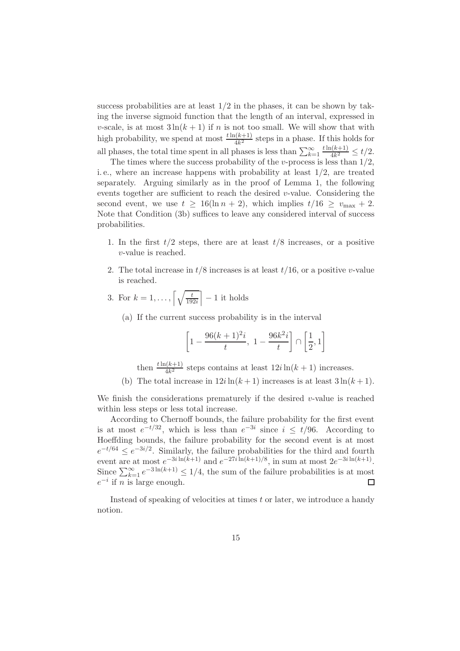success probabilities are at least  $1/2$  in the phases, it can be shown by taking the inverse sigmoid function that the length of an interval, expressed in v-scale, is at most  $3\ln(k+1)$  if n is not too small. We will show that with high probability, we spend at most  $\frac{t\ln(k+1)}{4k^2}$  steps in a phase. If this holds for all phases, the total time spent in all phases is less than  $\sum_{k=1}^{\infty}$  $t\ln(k+1)$  $\frac{4k^{2}}{4k^{2}} \leq t/2.$ 

The times where the success probability of the v-process is less than  $1/2$ , i. e., where an increase happens with probability at least 1/2, are treated separately. Arguing similarly as in the proof of Lemma 1, the following events together are sufficient to reach the desired  $v$ -value. Considering the second event, we use  $t \geq 16(\ln n + 2)$ , which implies  $t/16 \geq v_{\text{max}} + 2$ . Note that Condition (3b) suffices to leave any considered interval of success probabilities.

- 1. In the first  $t/2$  steps, there are at least  $t/8$  increases, or a positive v-value is reached.
- 2. The total increase in  $t/8$  increases is at least  $t/16$ , or a positive v-value is reached.
- 3. For  $k=1,\ldots,\lceil \sqrt{\frac{t}{19}} \rceil$  $\frac{t}{192i}$  - 1 it holds
	- (a) If the current success probability is in the interval

$$
\left[1 - \frac{96(k+1)^2i}{t}, \ 1 - \frac{96k^2i}{t}\right] \cap \left[\frac{1}{2}, 1\right]
$$

then  $\frac{t\ln(k+1)}{4k^2}$  steps contains at least  $12i\ln(k+1)$  increases.

(b) The total increase in  $12i\ln(k+1)$  increases is at least  $3\ln(k+1)$ .

We finish the considerations prematurely if the desired  $v$ -value is reached within less steps or less total increase.

According to Chernoff bounds, the failure probability for the first event is at most  $e^{-t/32}$ , which is less than  $e^{-3i}$  since  $i \le t/96$ . According to Hoeffding bounds, the failure probability for the second event is at most  $e^{-t/64} \le e^{-3i/2}$ . Similarly, the failure probabilities for the third and fourth event are at most  $e^{-3i\ln(k+1)}$  and  $e^{-27i\ln(k+1)/8}$ , in sum at most  $2e^{-3i\ln(k+1)}$ . Since  $\sum_{k=1}^{\infty} e^{-3\ln(k+1)} \leq 1/4$ , the sum of the failure probabilities is at most  $e^{-i}$  if *n* is large enough.  $\Box$ 

Instead of speaking of velocities at times  $t$  or later, we introduce a handy notion.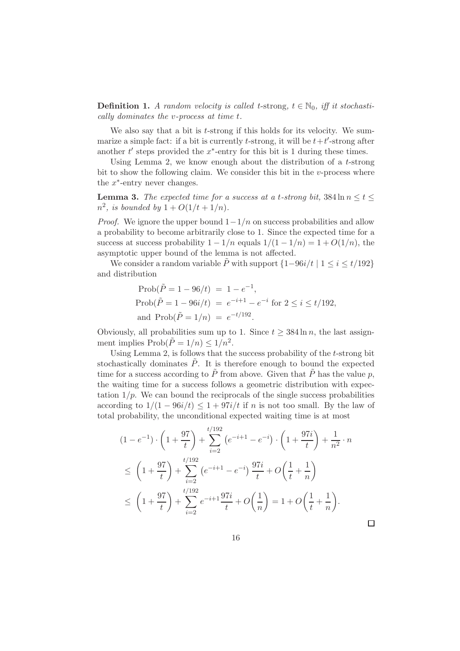**Definition 1.** A random velocity is called t-strong,  $t \in \mathbb{N}_0$ , iff it stochastically dominates the v-process at time t.

We also say that a bit is *t*-strong if this holds for its velocity. We summarize a simple fact: if a bit is currently  $t$ -strong, it will be  $t + t'$ -strong after another  $t'$  steps provided the  $x^*$ -entry for this bit is 1 during these times.

Using Lemma 2, we know enough about the distribution of a t-strong bit to show the following claim. We consider this bit in the  $v$ -process where the  $x^*$ -entry never changes.

**Lemma 3.** The expected time for a success at a t-strong bit,  $384 \ln n \le t \le$  $n^2$ , is bounded by  $1 + O(1/t + 1/n)$ .

*Proof.* We ignore the upper bound  $1-1/n$  on success probabilities and allow a probability to become arbitrarily close to 1. Since the expected time for a success at success probability  $1 - 1/n$  equals  $1/(1 - 1/n) = 1 + O(1/n)$ , the asymptotic upper bound of the lemma is not affected.

We consider a random variable  $\tilde{P}$  with support  $\{1-96i/t \mid 1 \leq i \leq t/192\}$ and distribution

$$
\begin{aligned} \text{Prob}(\tilde{P} &= 1 - 96/t) = 1 - e^{-1}, \\ \text{Prob}(\tilde{P} &= 1 - 96i/t) = e^{-i+1} - e^{-i} \text{ for } 2 \le i \le t/192, \\ \text{and } \text{Prob}(\tilde{P} &= 1/n) = e^{-t/192}. \end{aligned}
$$

Obviously, all probabilities sum up to 1. Since  $t \geq 384 \ln n$ , the last assignment implies  $\text{Prob}(\tilde{P} = 1/n) \leq 1/n^2$ .

Using Lemma 2, is follows that the success probability of the t-strong bit stochastically dominates  $\tilde{P}$ . It is therefore enough to bound the expected time for a success according to  $\tilde{P}$  from above. Given that  $\tilde{P}$  has the value p, the waiting time for a success follows a geometric distribution with expectation  $1/p$ . We can bound the reciprocals of the single success probabilities according to  $1/(1 - 96i/t) \leq 1 + 97i/t$  if n is not too small. By the law of total probability, the unconditional expected waiting time is at most

$$
(1 - e^{-1}) \cdot \left(1 + \frac{97}{t}\right) + \sum_{i=2}^{t/192} \left(e^{-i+1} - e^{-i}\right) \cdot \left(1 + \frac{97i}{t}\right) + \frac{1}{n^2} \cdot n
$$
  
\n
$$
\leq \left(1 + \frac{97}{t}\right) + \sum_{i=2}^{t/192} \left(e^{-i+1} - e^{-i}\right) \frac{97i}{t} + O\left(\frac{1}{t} + \frac{1}{n}\right)
$$
  
\n
$$
\leq \left(1 + \frac{97}{t}\right) + \sum_{i=2}^{t/192} e^{-i+1} \frac{97i}{t} + O\left(\frac{1}{n}\right) = 1 + O\left(\frac{1}{t} + \frac{1}{n}\right).
$$

 $\Box$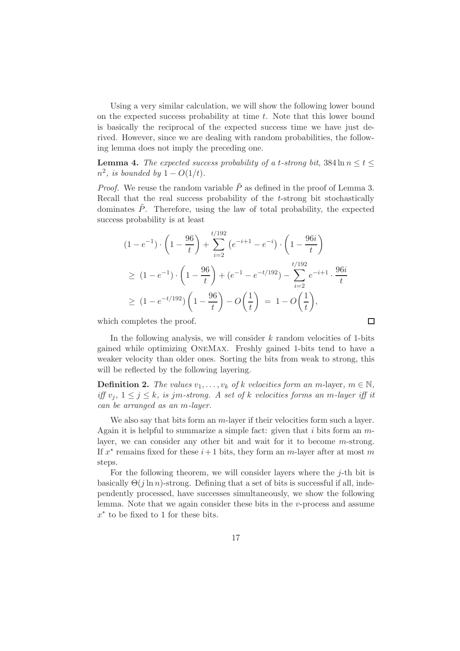Using a very similar calculation, we will show the following lower bound on the expected success probability at time  $t$ . Note that this lower bound is basically the reciprocal of the expected success time we have just derived. However, since we are dealing with random probabilities, the following lemma does not imply the preceding one.

**Lemma 4.** The expected success probability of a t-strong bit,  $384 \ln n \le t \le$  $n^2$ , is bounded by  $1 - O(1/t)$ .

*Proof.* We reuse the random variable  $\tilde{P}$  as defined in the proof of Lemma 3. Recall that the real success probability of the t-strong bit stochastically dominates  $\tilde{P}$ . Therefore, using the law of total probability, the expected success probability is at least

$$
(1 - e^{-1}) \cdot \left(1 - \frac{96}{t}\right) + \sum_{i=2}^{t/192} \left(e^{-i+1} - e^{-i}\right) \cdot \left(1 - \frac{96i}{t}\right)
$$
  
\n
$$
\geq (1 - e^{-1}) \cdot \left(1 - \frac{96}{t}\right) + (e^{-1} - e^{-t/192}) - \sum_{i=2}^{t/192} e^{-i+1} \cdot \frac{96i}{t}
$$
  
\n
$$
\geq (1 - e^{-t/192}) \left(1 - \frac{96}{t}\right) - O\left(\frac{1}{t}\right) = 1 - O\left(\frac{1}{t}\right),
$$

which completes the proof.

In the following analysis, we will consider  $k$  random velocities of 1-bits gained while optimizing OneMax. Freshly gained 1-bits tend to have a weaker velocity than older ones. Sorting the bits from weak to strong, this will be reflected by the following layering.

 $\Box$ 

**Definition 2.** The values  $v_1, \ldots, v_k$  of k velocities form an m-layer,  $m \in \mathbb{N}$ , iff  $v_j$ ,  $1 \leq j \leq k$ , is jm-strong. A set of k velocities forms an m-layer iff it can be arranged as an m-layer.

We also say that bits form an m-layer if their velocities form such a layer. Again it is helpful to summarize a simple fact: given that i bits form an  $m$ layer, we can consider any other bit and wait for it to become m-strong. If  $x^*$  remains fixed for these  $i+1$  bits, they form an m-layer after at most m steps.

For the following theorem, we will consider layers where the j-th bit is basically  $\Theta(i \ln n)$ -strong. Defining that a set of bits is successful if all, independently processed, have successes simultaneously, we show the following lemma. Note that we again consider these bits in the v-process and assume  $x^*$  to be fixed to 1 for these bits.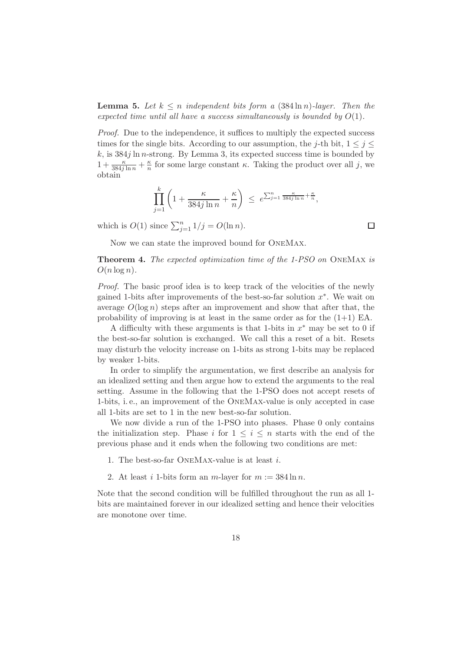**Lemma 5.** Let  $k \leq n$  independent bits form a  $(384 \ln n)$ -layer. Then the expected time until all have a success simultaneously is bounded by  $O(1)$ .

Proof. Due to the independence, it suffices to multiply the expected success times for the single bits. According to our assumption, the j-th bit,  $1 \leq j \leq$ k, is  $384j \ln n$ -strong. By Lemma 3, its expected success time is bounded by  $1+\frac{\kappa}{384j\ln n}+\frac{\kappa}{n}$  $\frac{\kappa}{n}$  for some large constant  $\kappa$ . Taking the product over all j, we obtain

$$
\prod_{j=1}^k \left(1 + \frac{\kappa}{384j \ln n} + \frac{\kappa}{n}\right) \le e^{\sum_{j=1}^n \frac{\kappa}{384j \ln n} + \frac{\kappa}{n}},
$$

which is  $O(1)$  since  $\sum_{j=1}^{n} 1/j = O(\ln n)$ .

Now we can state the improved bound for OneMax.

Theorem 4. The expected optimization time of the 1-PSO on OneMax is  $O(n \log n)$ .

Proof. The basic proof idea is to keep track of the velocities of the newly gained 1-bits after improvements of the best-so-far solution  $x^*$ . We wait on average  $O(\log n)$  steps after an improvement and show that after that, the probability of improving is at least in the same order as for the  $(1+1)$  EA.

A difficulty with these arguments is that 1-bits in  $x^*$  may be set to 0 if the best-so-far solution is exchanged. We call this a reset of a bit. Resets may disturb the velocity increase on 1-bits as strong 1-bits may be replaced by weaker 1-bits.

In order to simplify the argumentation, we first describe an analysis for an idealized setting and then argue how to extend the arguments to the real setting. Assume in the following that the 1-PSO does not accept resets of 1-bits, i. e., an improvement of the OneMax-value is only accepted in case all 1-bits are set to 1 in the new best-so-far solution.

We now divide a run of the 1-PSO into phases. Phase 0 only contains the initialization step. Phase i for  $1 \leq i \leq n$  starts with the end of the previous phase and it ends when the following two conditions are met:

- 1. The best-so-far OneMax-value is at least i.
- 2. At least i 1-bits form an  $m$ -layer for  $m := 384 \ln n$ .

Note that the second condition will be fulfilled throughout the run as all 1 bits are maintained forever in our idealized setting and hence their velocities are monotone over time.

 $\Box$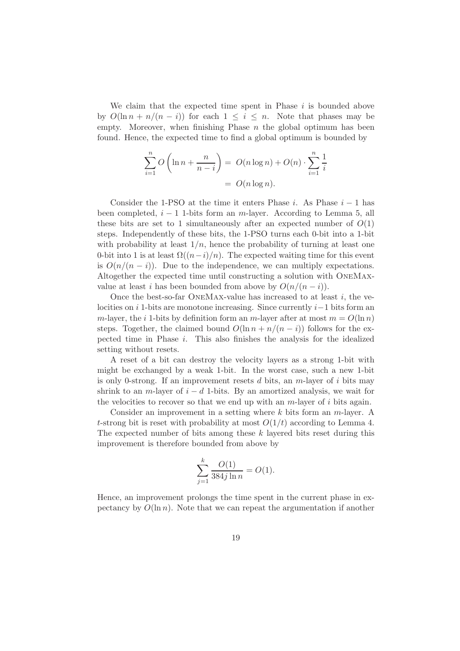We claim that the expected time spent in Phase  $i$  is bounded above by  $O(\ln n + n/(n - i))$  for each  $1 \leq i \leq n$ . Note that phases may be empty. Moreover, when finishing Phase  $n$  the global optimum has been found. Hence, the expected time to find a global optimum is bounded by

$$
\sum_{i=1}^{n} O\left(\ln n + \frac{n}{n-i}\right) = O(n \log n) + O(n) \cdot \sum_{i=1}^{n} \frac{1}{i}
$$

$$
= O(n \log n).
$$

Consider the 1-PSO at the time it enters Phase i. As Phase  $i-1$  has been completed,  $i - 1$  1-bits form an m-layer. According to Lemma 5, all these bits are set to 1 simultaneously after an expected number of  $O(1)$ steps. Independently of these bits, the 1-PSO turns each 0-bit into a 1-bit with probability at least  $1/n$ , hence the probability of turning at least one 0-bit into 1 is at least  $\Omega((n-i)/n)$ . The expected waiting time for this event is  $O(n/(n - i))$ . Due to the independence, we can multiply expectations. Altogether the expected time until constructing a solution with OneMaxvalue at least *i* has been bounded from above by  $O(n/(n - i))$ .

Once the best-so-far ONEMAX-value has increased to at least  $i$ , the velocities on i 1-bits are monotone increasing. Since currently  $i-1$  bits form an m-layer, the i 1-bits by definition form an m-layer after at most  $m = O(\ln n)$ steps. Together, the claimed bound  $O(\ln n + n/(n - i))$  follows for the expected time in Phase  $i$ . This also finishes the analysis for the idealized setting without resets.

A reset of a bit can destroy the velocity layers as a strong 1-bit with might be exchanged by a weak 1-bit. In the worst case, such a new 1-bit is only 0-strong. If an improvement resets d bits, an  $m$ -layer of i bits may shrink to an m-layer of  $i - d$  1-bits. By an amortized analysis, we wait for the velocities to recover so that we end up with an  $m$ -layer of  $i$  bits again.

Consider an improvement in a setting where  $k$  bits form an  $m$ -layer. A t-strong bit is reset with probability at most  $O(1/t)$  according to Lemma 4. The expected number of bits among these k layered bits reset during this improvement is therefore bounded from above by

$$
\sum_{j=1}^{k} \frac{O(1)}{384j \ln n} = O(1).
$$

Hence, an improvement prolongs the time spent in the current phase in expectancy by  $O(\ln n)$ . Note that we can repeat the argumentation if another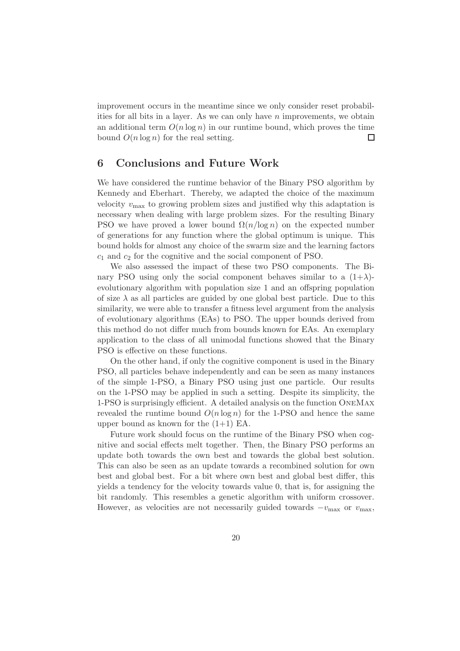improvement occurs in the meantime since we only consider reset probabilities for all bits in a layer. As we can only have  $n$  improvements, we obtain an additional term  $O(n \log n)$  in our runtime bound, which proves the time bound  $O(n \log n)$  for the real setting.  $\Box$ 

### 6 Conclusions and Future Work

We have considered the runtime behavior of the Binary PSO algorithm by Kennedy and Eberhart. Thereby, we adapted the choice of the maximum velocity  $v_{\text{max}}$  to growing problem sizes and justified why this adaptation is necessary when dealing with large problem sizes. For the resulting Binary PSO we have proved a lower bound  $\Omega(n/\log n)$  on the expected number of generations for any function where the global optimum is unique. This bound holds for almost any choice of the swarm size and the learning factors  $c_1$  and  $c_2$  for the cognitive and the social component of PSO.

We also assessed the impact of these two PSO components. The Binary PSO using only the social component behaves similar to a  $(1+\lambda)$ evolutionary algorithm with population size 1 and an offspring population of size  $\lambda$  as all particles are guided by one global best particle. Due to this similarity, we were able to transfer a fitness level argument from the analysis of evolutionary algorithms (EAs) to PSO. The upper bounds derived from this method do not differ much from bounds known for EAs. An exemplary application to the class of all unimodal functions showed that the Binary PSO is effective on these functions.

On the other hand, if only the cognitive component is used in the Binary PSO, all particles behave independently and can be seen as many instances of the simple 1-PSO, a Binary PSO using just one particle. Our results on the 1-PSO may be applied in such a setting. Despite its simplicity, the 1-PSO is surprisingly efficient. A detailed analysis on the function OneMax revealed the runtime bound  $O(n \log n)$  for the 1-PSO and hence the same upper bound as known for the  $(1+1)$  EA.

Future work should focus on the runtime of the Binary PSO when cognitive and social effects melt together. Then, the Binary PSO performs an update both towards the own best and towards the global best solution. This can also be seen as an update towards a recombined solution for own best and global best. For a bit where own best and global best differ, this yields a tendency for the velocity towards value 0, that is, for assigning the bit randomly. This resembles a genetic algorithm with uniform crossover. However, as velocities are not necessarily guided towards  $-v_{\text{max}}$  or  $v_{\text{max}}$ ,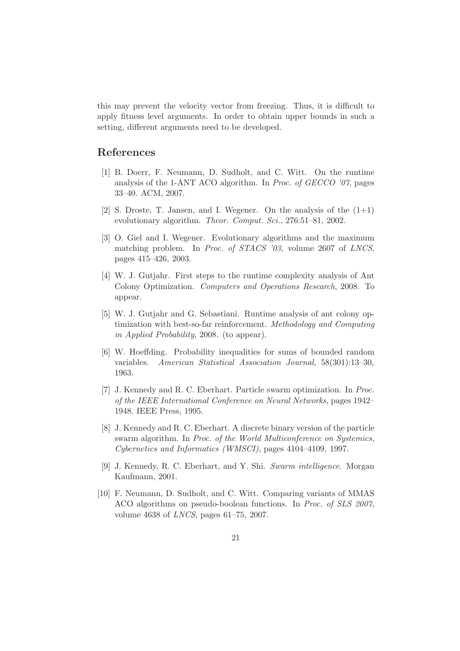this may prevent the velocity vector from freezing. Thus, it is difficult to apply fitness level arguments. In order to obtain upper bounds in such a setting, different arguments need to be developed.

#### References

- [1] B. Doerr, F. Neumann, D. Sudholt, and C. Witt. On the runtime analysis of the 1-ANT ACO algorithm. In Proc. of GECCO '07, pages 33–40. ACM, 2007.
- [2] S. Droste, T. Jansen, and I. Wegener. On the analysis of the  $(1+1)$ evolutionary algorithm. Theor. Comput. Sci., 276:51-81, 2002.
- [3] O. Giel and I. Wegener. Evolutionary algorithms and the maximum matching problem. In Proc. of STACS '03, volume 2607 of LNCS, pages 415–426, 2003.
- [4] W. J. Gutjahr. First steps to the runtime complexity analysis of Ant Colony Optimization. Computers and Operations Research, 2008. To appear.
- [5] W. J. Gutjahr and G. Sebastiani. Runtime analysis of ant colony optimization with best-so-far reinforcement. Methodology and Computing in Applied Probability, 2008. (to appear).
- [6] W. Hoeffding. Probability inequalities for sums of bounded random variables. American Statistical Association Journal, 58(301):13–30, 1963.
- [7] J. Kennedy and R. C. Eberhart. Particle swarm optimization. In Proc. of the IEEE International Conference on Neural Networks, pages 1942– 1948. IEEE Press, 1995.
- [8] J. Kennedy and R. C. Eberhart. A discrete binary version of the particle swarm algorithm. In Proc. of the World Multiconference on Systemics, Cybernetics and Informatics (WMSCI), pages 4104–4109, 1997.
- [9] J. Kennedy, R. C. Eberhart, and Y. Shi. Swarm intelligence. Morgan Kaufmann, 2001.
- [10] F. Neumann, D. Sudholt, and C. Witt. Comparing variants of MMAS ACO algorithms on pseudo-boolean functions. In Proc. of SLS 2007, volume 4638 of LNCS, pages 61–75, 2007.